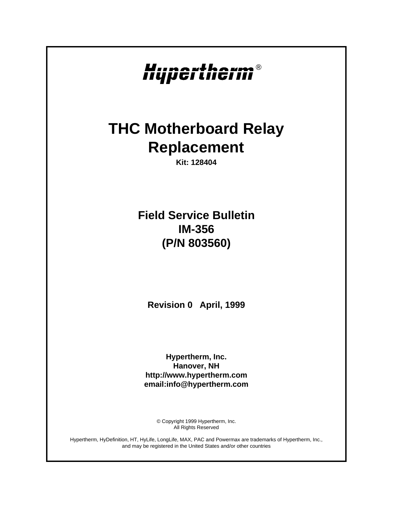# **THC Motherboard Relay Replacement Kit: 128404 Field Service Bulletin IM-356 (P/N 803560) Revision 0 April, 1999 Hypertherm, Inc. Hanover, NH http://www.hypertherm.com email:info@hypertherm.com** *Hypertherm®*

© Copyright 1999 Hypertherm, Inc. All Rights Reserved

Hypertherm, HyDefinition, HT, HyLife, LongLife, MAX, PAC and Powermax are trademarks of Hypertherm, Inc., and may be registered in the United States and/or other countries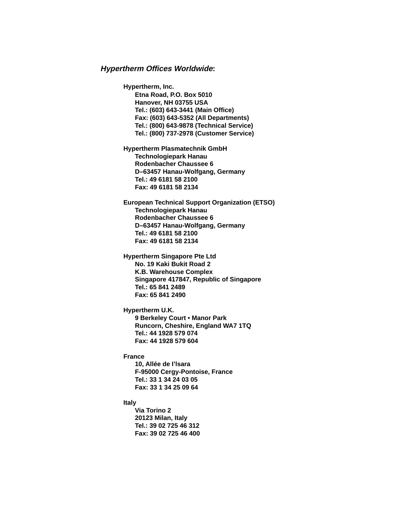#### **Hypertherm Offices Worldwide:**

**Hypertherm, Inc. Etna Road, P.O. Box 5010 Hanover, NH 03755 USA Tel.: (603) 643-3441 (Main Office) Fax: (603) 643-5352 (All Departments) Tel.: (800) 643-9878 (Technical Service) Tel.: (800) 737-2978 (Customer Service)**

**Hypertherm Plasmatechnik GmbH Technologiepark Hanau Rodenbacher Chaussee 6 D–63457 Hanau-Wolfgang, Germany Tel.: 49 6181 58 2100 Fax: 49 6181 58 2134**

**European Technical Support Organization (ETSO) Technologiepark Hanau Rodenbacher Chaussee 6 D–63457 Hanau-Wolfgang, Germany Tel.: 49 6181 58 2100 Fax: 49 6181 58 2134**

**Hypertherm Singapore Pte Ltd No. 19 Kaki Bukit Road 2 K.B. Warehouse Complex Singapore 417847, Republic of Singapore Tel.: 65 841 2489 Fax: 65 841 2490**

**Hypertherm U.K. 9 Berkeley Court • Manor Park Runcorn, Cheshire, England WA7 1TQ Tel.: 44 1928 579 074 Fax: 44 1928 579 604**

**France**

**10, Allée de I'lsara F-95000 Cergy-Pontoise, France Tel.: 33 1 34 24 03 05 Fax: 33 1 34 25 09 64**

**Italy**

**Via Torino 2 20123 Milan, Italy Tel.: 39 02 725 46 312 Fax: 39 02 725 46 400**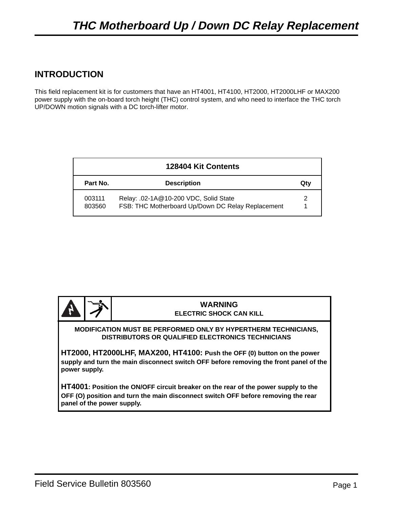## **INTRODUCTION**

This field replacement kit is for customers that have an HT4001, HT4100, HT2000, HT2000LHF or MAX200 power supply with the on-board torch height (THC) control system, and who need to interface the THC torch UP/DOWN motion signals with a DC torch-lifter motor.

| 128404 Kit Contents |                                                                                            |     |
|---------------------|--------------------------------------------------------------------------------------------|-----|
| Part No.            | <b>Description</b>                                                                         | Qtv |
| 003111<br>803560    | Relay: .02-1A@10-200 VDC, Solid State<br>FSB: THC Motherboard Up/Down DC Relay Replacement | 2   |



## **WARNING ELECTRIC SHOCK CAN KILL**

**MODIFICATION MUST BE PERFORMED ONLY BY HYPERTHERM TECHNICIANS, DISTRIBUTORS OR QUALIFIED ELECTRONICS TECHNICIANS**

**HT2000, HT2000LHF, MAX200, HT4100: Push the OFF (0) button on the power supply and turn the main disconnect switch OFF before removing the front panel of the power supply.**

**HT4001: Position the ON/OFF circuit breaker on the rear of the power supply to the OFF (O) position and turn the main disconnect switch OFF before removing the rear panel of the power supply.**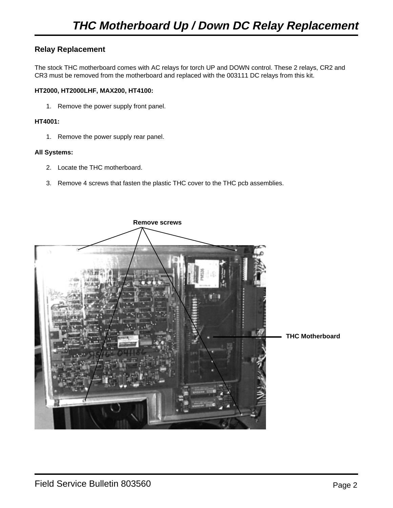## **Relay Replacement**

The stock THC motherboard comes with AC relays for torch UP and DOWN control. These 2 relays, CR2 and CR3 must be removed from the motherboard and replaced with the 003111 DC relays from this kit.

## **HT2000, HT2000LHF, MAX200, HT4100:**

1. Remove the power supply front panel.

## **HT4001:**

1. Remove the power supply rear panel.

## **All Systems:**

- 2. Locate the THC motherboard.
- 3. Remove 4 screws that fasten the plastic THC cover to the THC pcb assemblies.